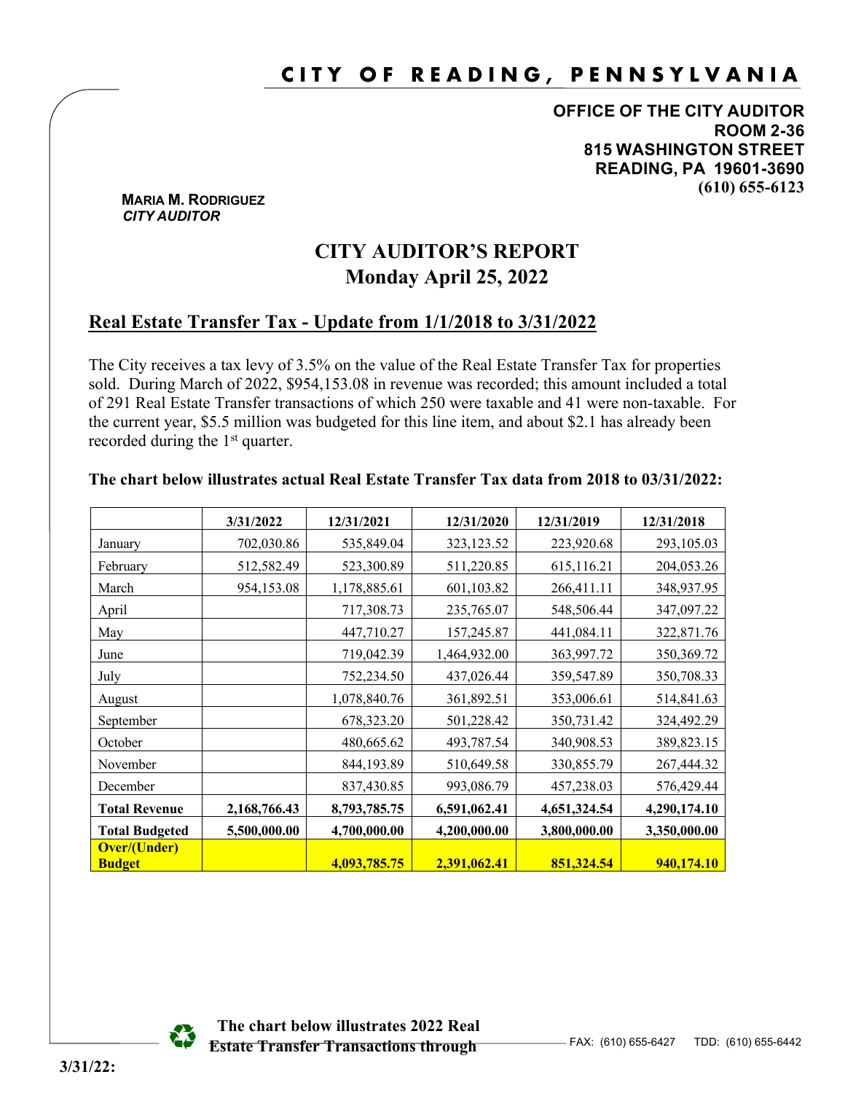# **CITY OF READING, PENNSYLVANIA**

**OFFICE OF THE CITY AUDITOR ROOM 2-36 815 WASHINGTON STREET READING, PA 19601-3690 (610) 655-6123**

#### **MARIA M. RODRIGUEZ**  *CITY AUDITOR*

## **CITY AUDITOR'S REPORT Monday April 25, 2022**

## **Real Estate Transfer Tax - Update from 1/1/2018 to 3/31/2022**

The City receives a tax levy of 3.5% on the value of the Real Estate Transfer Tax for properties sold. During March of 2022, \$954,153.08 in revenue was recorded; this amount included a total of 291 Real Estate Transfer transactions of which 250 were taxable and 41 were non-taxable. For the current year, \$5.5 million was budgeted for this line item, and about \$2.1 has already been recorded during the 1<sup>st</sup> quarter.

#### **The chart below illustrates actual Real Estate Transfer Tax data from 2018 to 03/31/2022:**

|                                      | 3/31/2022    | 12/31/2021   | 12/31/2020   | 12/31/2019   | 12/31/2018   |
|--------------------------------------|--------------|--------------|--------------|--------------|--------------|
| January                              | 702,030.86   | 535,849.04   | 323,123.52   | 223,920.68   | 293,105.03   |
| February                             | 512,582.49   | 523,300.89   | 511,220.85   | 615,116.21   | 204,053.26   |
| March                                | 954,153.08   | 1,178,885.61 | 601,103.82   | 266,411.11   | 348,937.95   |
| April                                |              | 717,308.73   | 235,765.07   | 548,506.44   | 347,097.22   |
| May                                  |              | 447,710.27   | 157,245.87   | 441,084.11   | 322,871.76   |
| June                                 |              | 719,042.39   | 1,464,932.00 | 363,997.72   | 350,369.72   |
| July                                 |              | 752,234.50   | 437,026.44   | 359,547.89   | 350,708.33   |
| August                               |              | 1,078,840.76 | 361,892.51   | 353,006.61   | 514,841.63   |
| September                            |              | 678,323.20   | 501,228.42   | 350,731.42   | 324,492.29   |
| October                              |              | 480,665.62   | 493,787.54   | 340,908.53   | 389,823.15   |
| November                             |              | 844,193.89   | 510,649.58   | 330,855.79   | 267,444.32   |
| December                             |              | 837,430.85   | 993,086.79   | 457,238.03   | 576,429.44   |
| <b>Total Revenue</b>                 | 2,168,766.43 | 8,793,785.75 | 6,591,062.41 | 4,651,324.54 | 4,290,174.10 |
| <b>Total Budgeted</b>                | 5,500,000.00 | 4,700,000.00 | 4,200,000.00 | 3,800,000.00 | 3,350,000.00 |
| <b>Over/(Under)</b><br><b>Budget</b> |              | 4,093,785.75 | 2,391,062.41 | 851,324.54   | 940,174.10   |



 **The chart below illustrates 2022 Real Estate Transfer Transactions through**